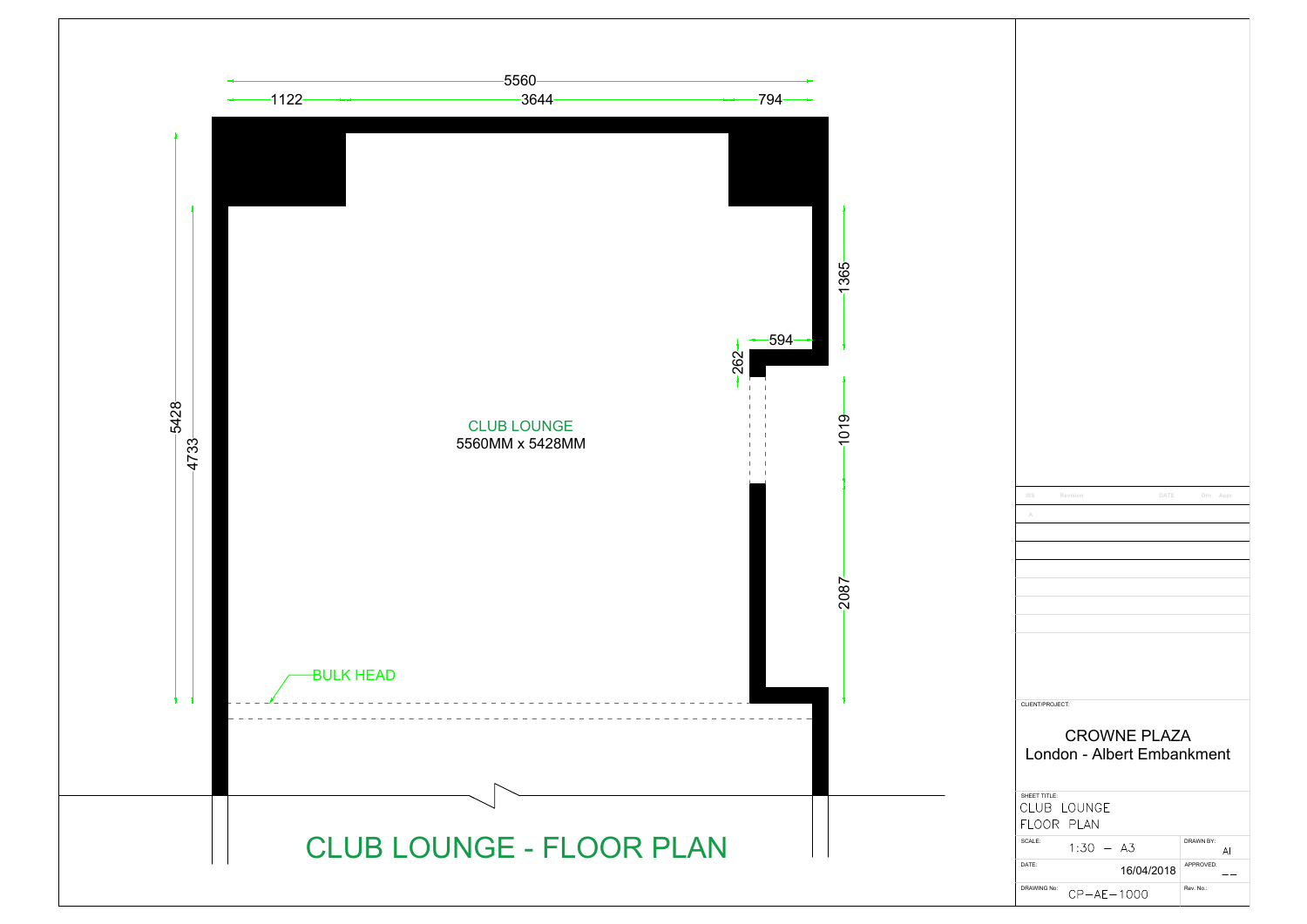| ISS             | Revision         | DATE                       | Drn Appr        |
|-----------------|------------------|----------------------------|-----------------|
| A               |                  |                            |                 |
|                 |                  |                            |                 |
|                 |                  |                            |                 |
|                 |                  |                            |                 |
|                 |                  |                            |                 |
|                 |                  |                            |                 |
|                 |                  |                            |                 |
|                 |                  |                            |                 |
|                 |                  |                            |                 |
|                 |                  |                            |                 |
|                 |                  |                            |                 |
|                 |                  |                            |                 |
|                 |                  |                            |                 |
| CLIENT/PROJECT: |                  |                            |                 |
|                 |                  |                            |                 |
|                 |                  |                            |                 |
|                 |                  | <b>CROWNE PLAZA</b>        |                 |
|                 |                  | London - Albert Embankment |                 |
|                 |                  |                            |                 |
|                 |                  |                            |                 |
| SHEET TITLE:    | CLUB LOUNGE      |                            |                 |
|                 |                  |                            |                 |
| FLOOR PLAN      |                  |                            |                 |
| SCALE:          | $1:30 - A3$      |                            | DRAWN BY:<br>AI |
| DATE:           |                  |                            | APPROVED:       |
| DRAWING No:     | $CP - AE - 1000$ | 16/04/2018                 | Rev. No.:       |

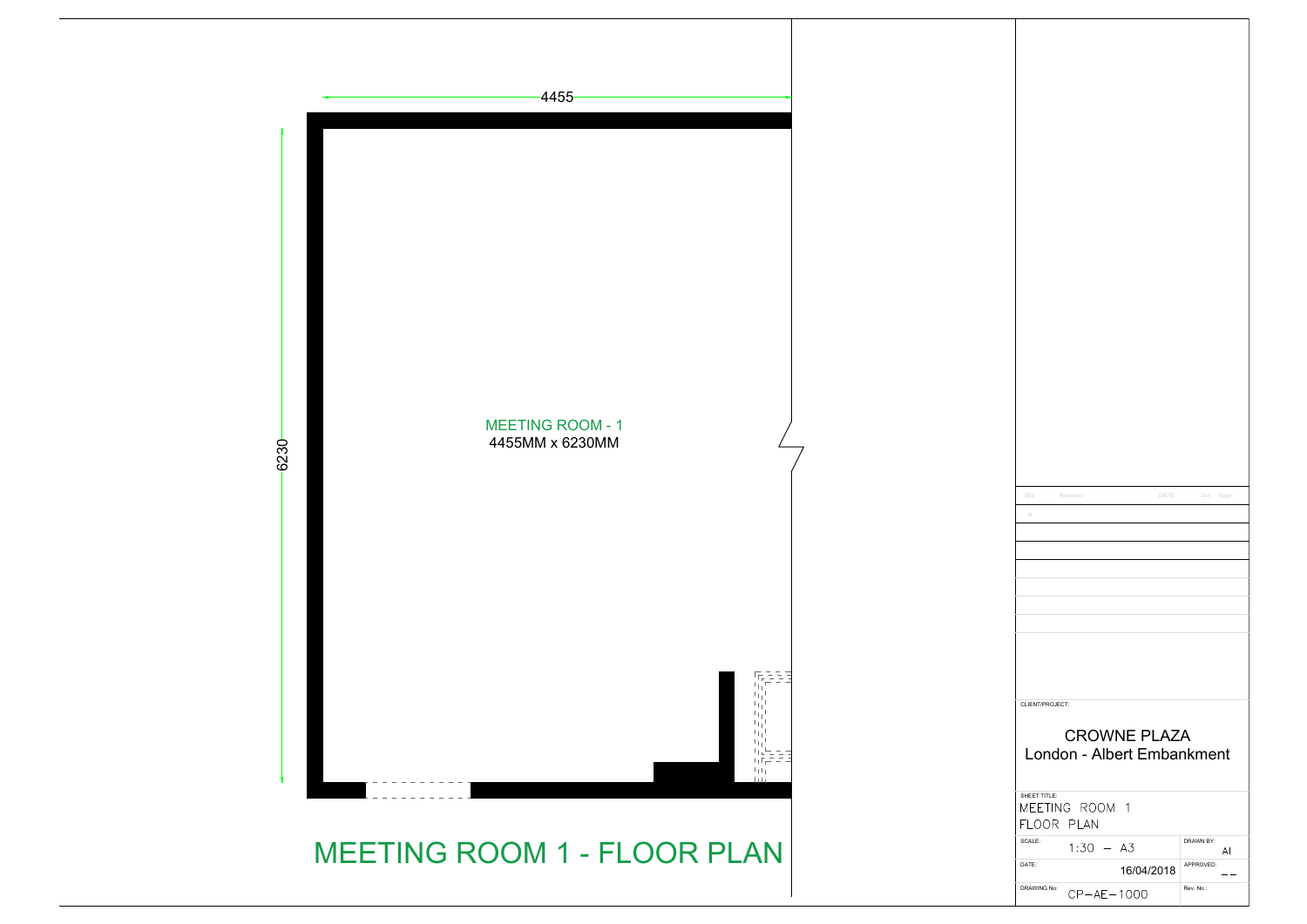

| ISS<br>Revision<br>DATE                       | Drn Appr        |
|-----------------------------------------------|-----------------|
| A                                             |                 |
|                                               |                 |
|                                               |                 |
|                                               |                 |
|                                               |                 |
|                                               |                 |
|                                               |                 |
|                                               |                 |
|                                               |                 |
|                                               |                 |
| CLIENT/PROJECT:                               |                 |
|                                               |                 |
|                                               |                 |
| <b>CROWNE PLAZA</b>                           |                 |
| London - Albert Embankment                    |                 |
|                                               |                 |
| SHEET TITLE:<br>MEETING ROOM 1                |                 |
| FLOOR PLAN                                    |                 |
| SCALE:                                        | DRAWN BY:       |
| $1:30 - A3$<br>DATE:                          | AI<br>APPROVED: |
| 16/04/2018<br>DRAWING No:<br>$CP - AE - 1000$ | Rev. No.:       |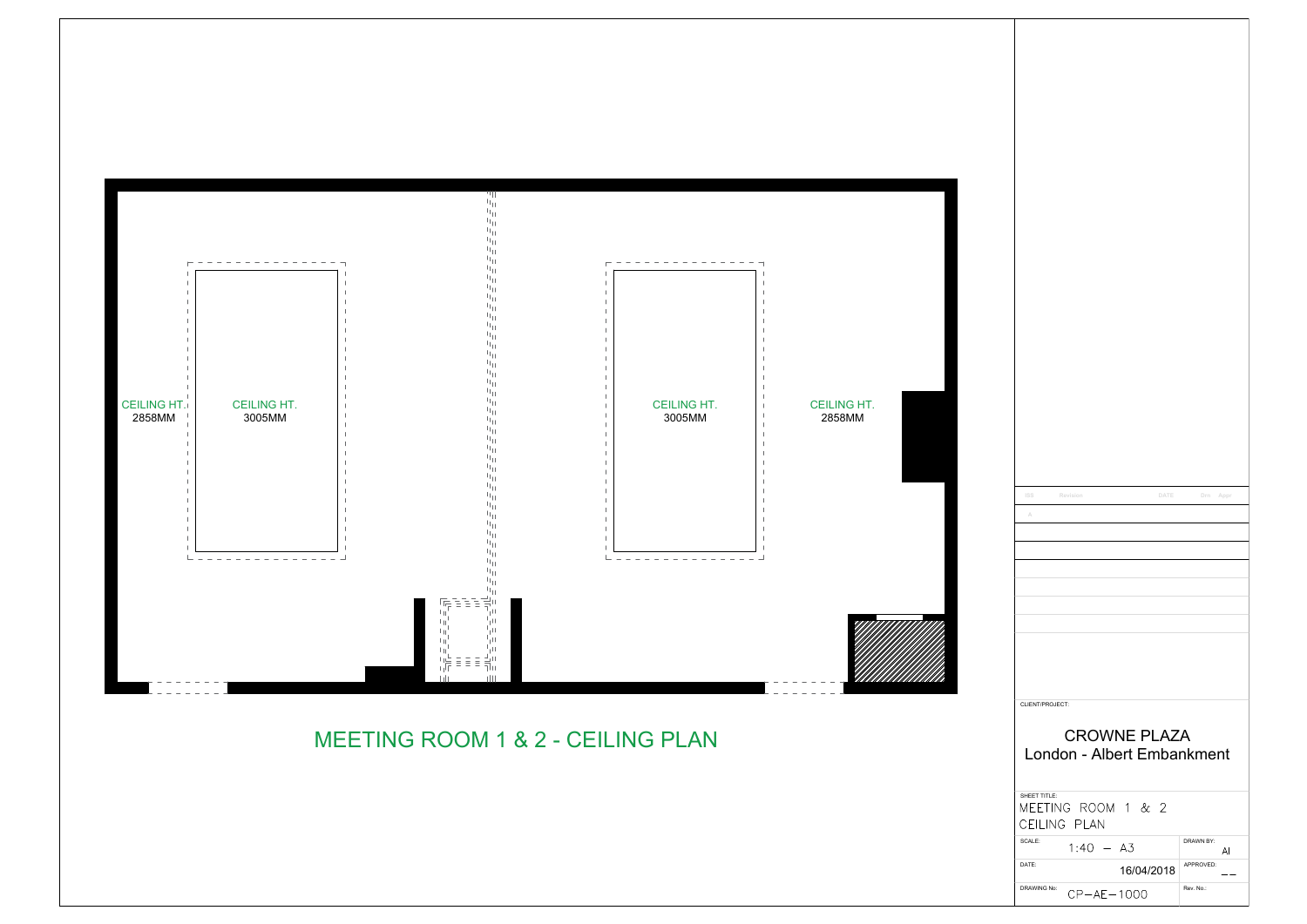| <b>ISS</b><br>Revision             | DATE                | Drn Appr        |
|------------------------------------|---------------------|-----------------|
| A                                  |                     |                 |
|                                    |                     |                 |
|                                    |                     |                 |
|                                    |                     |                 |
|                                    |                     |                 |
|                                    |                     |                 |
|                                    |                     |                 |
|                                    |                     |                 |
|                                    |                     |                 |
|                                    |                     |                 |
| CLIENT/PROJECT:                    |                     |                 |
|                                    | <b>CROWNE PLAZA</b> |                 |
| London - Albert Embankment         |                     |                 |
|                                    |                     |                 |
| SHEET TITLE:<br>MEETING ROOM 1 & 2 |                     |                 |
| CEILING PLAN                       |                     |                 |
| SCALE:<br>$1:40 - A3$              |                     | DRAWN BY:<br>AI |
| DATE:                              | 16/04/2018          | APPROVED:       |

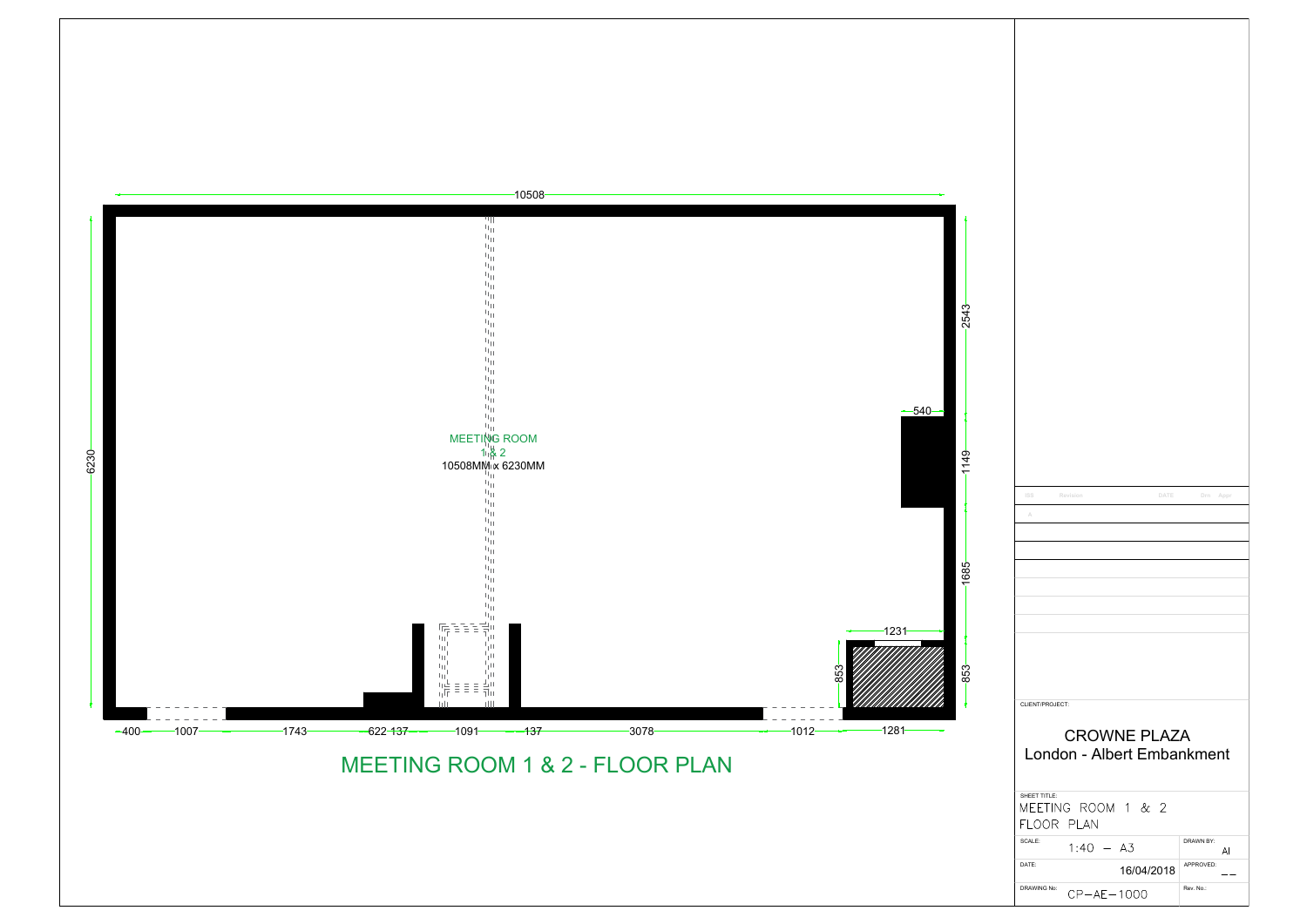| <b>ISS</b><br>Revision<br>DATE     | Drn Appr        |
|------------------------------------|-----------------|
| A                                  |                 |
|                                    |                 |
|                                    |                 |
|                                    |                 |
|                                    |                 |
|                                    |                 |
|                                    |                 |
|                                    |                 |
|                                    |                 |
|                                    |                 |
|                                    |                 |
|                                    |                 |
| CLIENT/PROJECT:                    |                 |
|                                    |                 |
| <b>CROWNE PLAZA</b>                |                 |
| London - Albert Embankment         |                 |
|                                    |                 |
|                                    |                 |
| SHEET TITLE:<br>MEETING ROOM 1 & 2 |                 |
| FLOOR PLAN                         |                 |
| SCALE:<br>$1:40 - A3$              | DRAWN BY:       |
| DATE:<br>16/04/2018                | AI<br>APPROVED: |

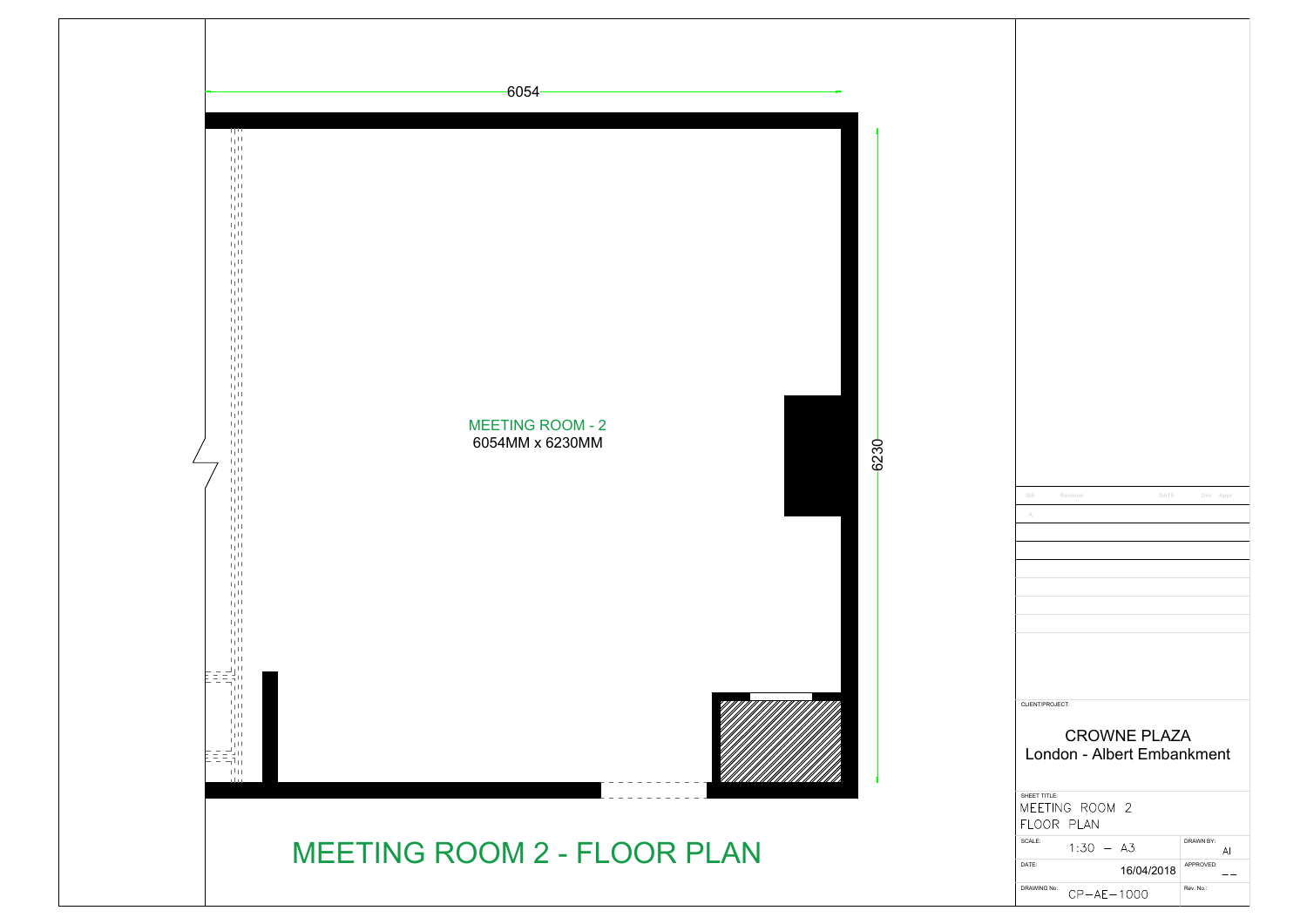

| ISS<br>Revision            | DATE       | Drn Appr        |
|----------------------------|------------|-----------------|
|                            |            |                 |
| A                          |            |                 |
|                            |            |                 |
|                            |            |                 |
|                            |            |                 |
|                            |            |                 |
|                            |            |                 |
|                            |            |                 |
|                            |            |                 |
|                            |            |                 |
|                            |            |                 |
|                            |            |                 |
|                            |            |                 |
|                            |            |                 |
|                            |            |                 |
| CLIENT/PROJECT:            |            |                 |
|                            |            |                 |
| <b>CROWNE PLAZA</b>        |            |                 |
|                            |            |                 |
| London - Albert Embankment |            |                 |
|                            |            |                 |
| SHEET TITLE:               |            |                 |
| MEETING ROOM 2             |            |                 |
|                            |            |                 |
| FLOOR PLAN                 |            |                 |
| SCALE:<br>$1:30 - A3$      |            | DRAWN BY:<br>AI |
| DATE:                      |            | APPROVED:       |
| DRAWING No:                | 16/04/2018 | Rev. No.:       |